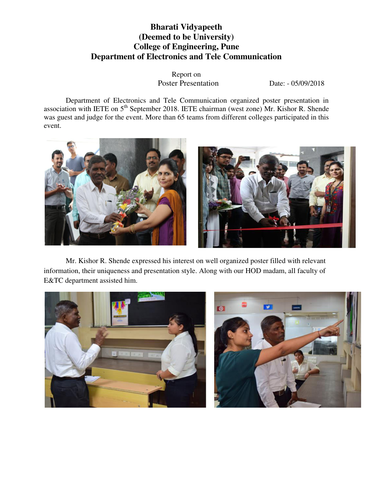## **Bharati Vidyapeeth (Deemed to be University) College of Engineering, Pune Department of Electronics and Tele Communication**

Report on Poster Presentation Date: - 05/09/2018

Department of Electronics and Tele Communication organized poster presentation in association with IETE on 5<sup>th</sup> September 2018. IETE chairman (west zone) Mr. Kishor R. Shende was guest and judge for the event. More than 65 teams from different colleges participated in this event.



Mr. Kishor R. Shende expressed his interest on well organized poster filled with relevant information, their uniqueness and presentation style. Along with our HOD madam, all faculty of E&TC department assisted him.

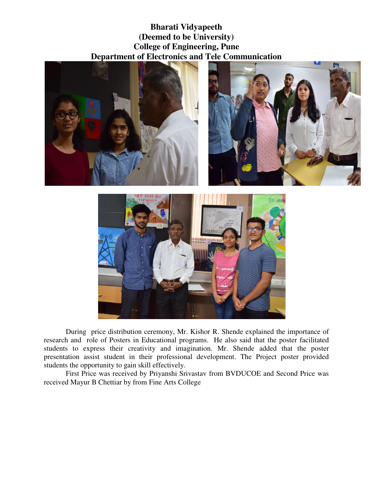**Bharati Vidyapeeth (Deemed to be University) College of Engineering, Pune Department of Electronics and Tele Communication** 





During price distribution ceremony, Mr. Kishor R. Shende explained the importance of research and role of Posters in Educational programs. He also said that the poster facilitated students to express their creativity and imagination. Mr. Shende added that the poster presentation assist student in their professional development. The Project poster provided students the opportunity to gain skill effectively.

First Price was received by Priyanshi Srivastav from BVDUCOE and Second Price was received Mayur B Chettiar by from Fine Arts College